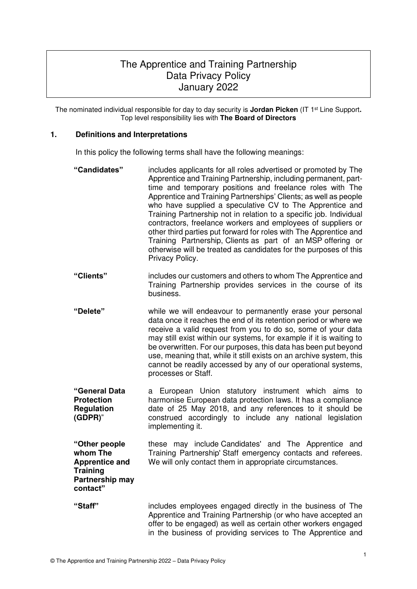# The Apprentice and Training Partnership Data Privacy Policy January 2022

The nominated individual responsible for day to day security is **Jordan Picken** (IT 1st Line Support**.**  Top level responsibility lies with **The Board of Directors**

# **1. Definitions and Interpretations**

In this policy the following terms shall have the following meanings:

| "Candidates"                                                                                         | includes applicants for all roles advertised or promoted by The<br>Apprentice and Training Partnership, including permanent, part-<br>time and temporary positions and freelance roles with The<br>Apprentice and Training Partnerships' Clients; as well as people<br>who have supplied a speculative CV to The Apprentice and<br>Training Partnership not in relation to a specific job. Individual<br>contractors, freelance workers and employees of suppliers or<br>other third parties put forward for roles with The Apprentice and<br>Training Partnership, Clients as part of an MSP offering or<br>otherwise will be treated as candidates for the purposes of this<br>Privacy Policy. |
|------------------------------------------------------------------------------------------------------|--------------------------------------------------------------------------------------------------------------------------------------------------------------------------------------------------------------------------------------------------------------------------------------------------------------------------------------------------------------------------------------------------------------------------------------------------------------------------------------------------------------------------------------------------------------------------------------------------------------------------------------------------------------------------------------------------|
| "Clients"                                                                                            | includes our customers and others to whom The Apprentice and<br>Training Partnership provides services in the course of its<br>business.                                                                                                                                                                                                                                                                                                                                                                                                                                                                                                                                                         |
| "Delete"                                                                                             | while we will endeavour to permanently erase your personal<br>data once it reaches the end of its retention period or where we<br>receive a valid request from you to do so, some of your data<br>may still exist within our systems, for example if it is waiting to<br>be overwritten. For our purposes, this data has been put beyond<br>use, meaning that, while it still exists on an archive system, this<br>cannot be readily accessed by any of our operational systems,<br>processes or Staff.                                                                                                                                                                                          |
| "General Data<br><b>Protection</b><br><b>Regulation</b><br>(GDPR)"                                   | a European Union statutory instrument which aims<br>to<br>harmonise European data protection laws. It has a compliance<br>date of 25 May 2018, and any references to it should be<br>construed accordingly to include any national legislation<br>implementing it.                                                                                                                                                                                                                                                                                                                                                                                                                               |
| "Other people<br>whom The<br><b>Apprentice and</b><br><b>Training</b><br>Partnership may<br>contact" | these may include Candidates' and The Apprentice and<br>Training Partnership' Staff emergency contacts and referees.<br>We will only contact them in appropriate circumstances.                                                                                                                                                                                                                                                                                                                                                                                                                                                                                                                  |
| "Staff"                                                                                              | includes employees engaged directly in the business of The<br>Apprentice and Training Partnership (or who have accepted an<br>offer to be engaged) as well as certain other workers engaged<br>in the business of providing services to The Apprentice and                                                                                                                                                                                                                                                                                                                                                                                                                                       |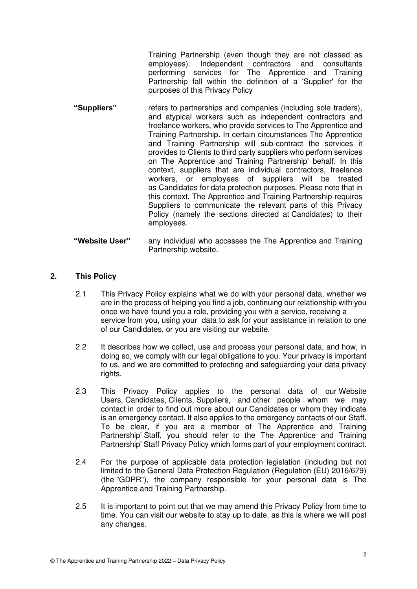Training Partnership (even though they are not classed as employees). Independent contractors and consultants performing services for The Apprentice and Training Partnership fall within the definition of a 'Supplier' for the purposes of this Privacy Policy

- **"Suppliers"** refers to partnerships and companies (including sole traders), and atypical workers such as independent contractors and freelance workers, who provide services to The Apprentice and Training Partnership. In certain circumstances The Apprentice and Training Partnership will sub-contract the services it provides to Clients to third party suppliers who perform services on The Apprentice and Training Partnership' behalf. In this context, suppliers that are individual contractors, freelance workers, or employees of suppliers will be treated as Candidates for data protection purposes. Please note that in this context, The Apprentice and Training Partnership requires Suppliers to communicate the relevant parts of this Privacy Policy (namely the sections directed at Candidates) to their employees.
- **"Website User"** any individual who accesses the The Apprentice and Training Partnership website.

#### **2. This Policy**

- 2.1 This Privacy Policy explains what we do with your personal data, whether we are in the process of helping you find a job, continuing our relationship with you once we have found you a role, providing you with a service, receiving a service from you, using your data to ask for your assistance in relation to one of our Candidates, or you are visiting our website.
- 2.2 It describes how we collect, use and process your personal data, and how, in doing so, we comply with our legal obligations to you. Your privacy is important to us, and we are committed to protecting and safeguarding your data privacy rights.
- 2.3 This Privacy Policy applies to the personal data of our Website Users, Candidates, Clients, Suppliers, and other people whom we may contact in order to find out more about our Candidates or whom they indicate is an emergency contact. It also applies to the emergency contacts of our Staff. To be clear, if you are a member of The Apprentice and Training Partnership' Staff, you should refer to the The Apprentice and Training Partnership' Staff Privacy Policy which forms part of your employment contract.
- 2.4 For the purpose of applicable data protection legislation (including but not limited to the General Data Protection Regulation (Regulation (EU) 2016/679) (the "GDPR"), the company responsible for your personal data is The Apprentice and Training Partnership.
- 2.5 It is important to point out that we may amend this Privacy Policy from time to time. You can visit our website to stay up to date, as this is where we will post any changes.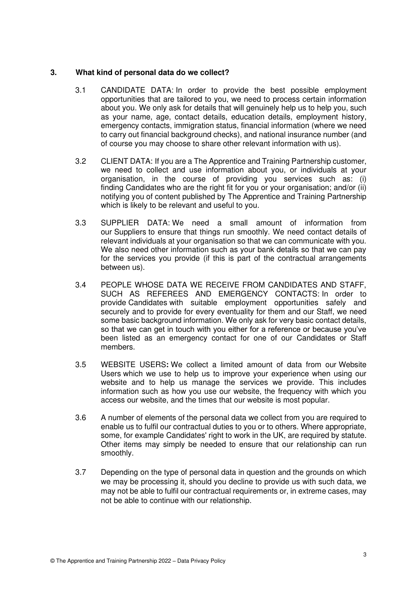#### **3. What kind of personal data do we collect?**

- 3.1 CANDIDATE DATA: In order to provide the best possible employment opportunities that are tailored to you, we need to process certain information about you. We only ask for details that will genuinely help us to help you, such as your name, age, contact details, education details, employment history, emergency contacts, immigration status, financial information (where we need to carry out financial background checks), and national insurance number (and of course you may choose to share other relevant information with us).
- 3.2 CLIENT DATA: If you are a The Apprentice and Training Partnership customer, we need to collect and use information about you, or individuals at your organisation, in the course of providing you services such as: (i) finding Candidates who are the right fit for you or your organisation; and/or (ii) notifying you of content published by The Apprentice and Training Partnership which is likely to be relevant and useful to you.
- 3.3 SUPPLIER DATA: We need a small amount of information from our Suppliers to ensure that things run smoothly. We need contact details of relevant individuals at your organisation so that we can communicate with you. We also need other information such as your bank details so that we can pay for the services you provide (if this is part of the contractual arrangements between us).
- 3.4 PEOPLE WHOSE DATA WE RECEIVE FROM CANDIDATES AND STAFF, SUCH AS REFEREES AND EMERGENCY CONTACTS: In order to provide Candidates with suitable employment opportunities safely and securely and to provide for every eventuality for them and our Staff, we need some basic background information. We only ask for very basic contact details, so that we can get in touch with you either for a reference or because you've been listed as an emergency contact for one of our Candidates or Staff members.
- 3.5 WEBSITE USERS**:** We collect a limited amount of data from our Website Users which we use to help us to improve your experience when using our website and to help us manage the services we provide. This includes information such as how you use our website, the frequency with which you access our website, and the times that our website is most popular.
- 3.6 A number of elements of the personal data we collect from you are required to enable us to fulfil our contractual duties to you or to others. Where appropriate, some, for example Candidates' right to work in the UK, are required by statute. Other items may simply be needed to ensure that our relationship can run smoothly.
- 3.7 Depending on the type of personal data in question and the grounds on which we may be processing it, should you decline to provide us with such data, we may not be able to fulfil our contractual requirements or, in extreme cases, may not be able to continue with our relationship.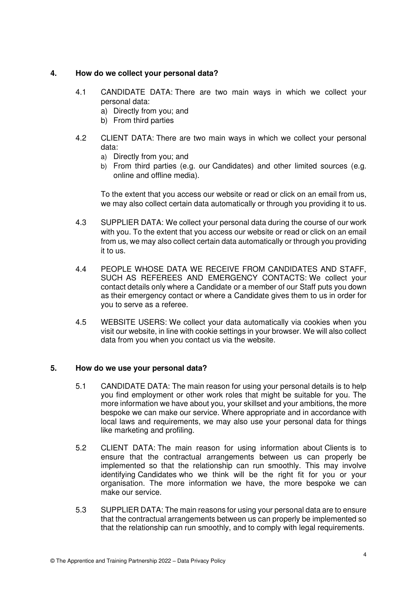### **4. How do we collect your personal data?**

- 4.1 CANDIDATE DATA: There are two main ways in which we collect your personal data:
	- a) Directly from you; and
	- b) From third parties
- 4.2 CLIENT DATA: There are two main ways in which we collect your personal data:
	- a) Directly from you; and
	- b) From third parties (e.g. our Candidates) and other limited sources (e.g. online and offline media).

To the extent that you access our website or read or click on an email from us, we may also collect certain data automatically or through you providing it to us.

- 4.3 SUPPLIER DATA: We collect your personal data during the course of our work with you. To the extent that you access our website or read or click on an email from us, we may also collect certain data automatically or through you providing it to us.
- 4.4 PEOPLE WHOSE DATA WE RECEIVE FROM CANDIDATES AND STAFF, SUCH AS REFEREES AND EMERGENCY CONTACTS: We collect your contact details only where a Candidate or a member of our Staff puts you down as their emergency contact or where a Candidate gives them to us in order for you to serve as a referee.
- 4.5 WEBSITE USERS: We collect your data automatically via cookies when you visit our website, in line with cookie settings in your browser. We will also collect data from you when you contact us via the website.

#### **5. How do we use your personal data?**

- 5.1 CANDIDATE DATA: The main reason for using your personal details is to help you find employment or other work roles that might be suitable for you. The more information we have about you, your skillset and your ambitions, the more bespoke we can make our service. Where appropriate and in accordance with local laws and requirements, we may also use your personal data for things like marketing and profiling.
- 5.2 CLIENT DATA: The main reason for using information about Clients is to ensure that the contractual arrangements between us can properly be implemented so that the relationship can run smoothly. This may involve identifying Candidates who we think will be the right fit for you or your organisation. The more information we have, the more bespoke we can make our service.
- 5.3 SUPPLIER DATA: The main reasons for using your personal data are to ensure that the contractual arrangements between us can properly be implemented so that the relationship can run smoothly, and to comply with legal requirements.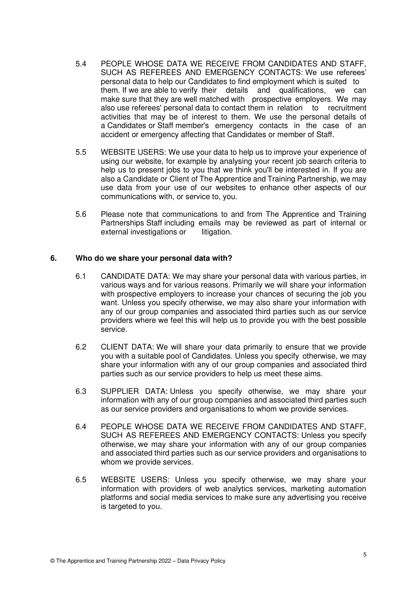- 5.4 PEOPLE WHOSE DATA WE RECEIVE FROM CANDIDATES AND STAFF, SUCH AS REFEREES AND EMERGENCY CONTACTS: We use referees' personal data to help our Candidates to find employment which is suited to them. If we are able to verify their details and qualifications, we can make sure that they are well matched with prospective employers. We may also use referees' personal data to contact them in relation to recruitment activities that may be of interest to them. We use the personal details of a Candidates or Staff member's emergency contacts in the case of an accident or emergency affecting that Candidates or member of Staff.
- 5.5 WEBSITE USERS: We use your data to help us to improve your experience of using our website, for example by analysing your recent job search criteria to help us to present jobs to you that we think you'll be interested in. If you are also a Candidate or Client of The Apprentice and Training Partnership, we may use data from your use of our websites to enhance other aspects of our communications with, or service to, you.
- 5.6 Please note that communications to and from The Apprentice and Training Partnerships Staff including emails may be reviewed as part of internal or external investigations or litigation.

#### **6. Who do we share your personal data with?**

- 6.1 CANDIDATE DATA: We may share your personal data with various parties, in various ways and for various reasons. Primarily we will share your information with prospective employers to increase your chances of securing the job you want. Unless you specify otherwise, we may also share your information with any of our group companies and associated third parties such as our service providers where we feel this will help us to provide you with the best possible service.
- 6.2 CLIENT DATA: We will share your data primarily to ensure that we provide you with a suitable pool of Candidates. Unless you specify otherwise, we may share your information with any of our group companies and associated third parties such as our service providers to help us meet these aims.
- 6.3 SUPPLIER DATA: Unless you specify otherwise, we may share your information with any of our group companies and associated third parties such as our service providers and organisations to whom we provide services.
- 6.4 PEOPLE WHOSE DATA WE RECEIVE FROM CANDIDATES AND STAFF, SUCH AS REFEREES AND EMERGENCY CONTACTS: Unless you specify otherwise, we may share your information with any of our group companies and associated third parties such as our service providers and organisations to whom we provide services.
- 6.5 WEBSITE USERS: Unless you specify otherwise, we may share your information with providers of web analytics services, marketing automation platforms and social media services to make sure any advertising you receive is targeted to you.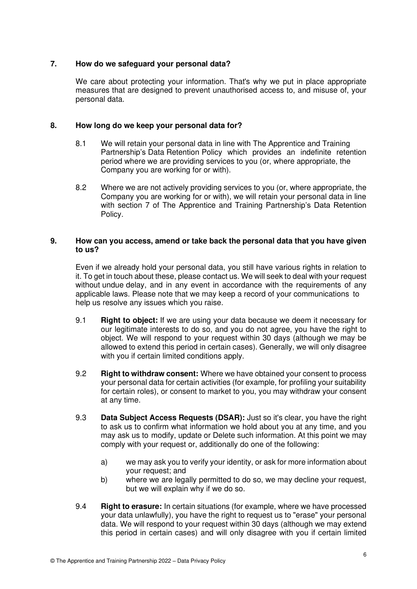## **7. How do we safeguard your personal data?**

We care about protecting your information. That's why we put in place appropriate measures that are designed to prevent unauthorised access to, and misuse of, your personal data.

#### **8. How long do we keep your personal data for?**

- 8.1 We will retain your personal data in line with The Apprentice and Training Partnership's Data Retention Policy which provides an indefinite retention period where we are providing services to you (or, where appropriate, the Company you are working for or with).
- 8.2 Where we are not actively providing services to you (or, where appropriate, the Company you are working for or with), we will retain your personal data in line with section 7 of The Apprentice and Training Partnership's Data Retention Policy.

#### **9. How can you access, amend or take back the personal data that you have given to us?**

 Even if we already hold your personal data, you still have various rights in relation to it. To get in touch about these, please contact us. We will seek to deal with your request without undue delay, and in any event in accordance with the requirements of any applicable laws. Please note that we may keep a record of your communications to help us resolve any issues which you raise.

- 9.1 **Right to object:** If we are using your data because we deem it necessary for our legitimate interests to do so, and you do not agree, you have the right to object. We will respond to your request within 30 days (although we may be allowed to extend this period in certain cases). Generally, we will only disagree with you if certain limited conditions apply.
- 9.2 **Right to withdraw consent:** Where we have obtained your consent to process your personal data for certain activities (for example, for profiling your suitability for certain roles), or consent to market to you, you may withdraw your consent at any time.
- 9.3 **Data Subject Access Requests (DSAR):** Just so it's clear, you have the right to ask us to confirm what information we hold about you at any time, and you may ask us to modify, update or Delete such information. At this point we may comply with your request or, additionally do one of the following:
	- a) we may ask you to verify your identity, or ask for more information about your request; and
	- b) where we are legally permitted to do so, we may decline your request, but we will explain why if we do so.
- 9.4 **Right to erasure:** In certain situations (for example, where we have processed your data unlawfully), you have the right to request us to "erase" your personal data. We will respond to your request within 30 days (although we may extend this period in certain cases) and will only disagree with you if certain limited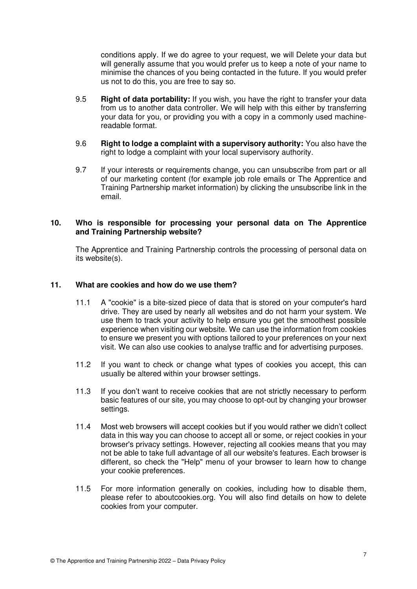conditions apply. If we do agree to your request, we will Delete your data but will generally assume that you would prefer us to keep a note of your name to minimise the chances of you being contacted in the future. If you would prefer us not to do this, you are free to say so.

- 9.5 **Right of data portability:** If you wish, you have the right to transfer your data from us to another data controller. We will help with this either by transferring your data for you, or providing you with a copy in a commonly used machine readable format.
- 9.6 **Right to lodge a complaint with a supervisory authority:** You also have the right to lodge a complaint with your local supervisory authority.
- 9.7 If your interests or requirements change, you can unsubscribe from part or all of our marketing content (for example job role emails or The Apprentice and Training Partnership market information) by clicking the unsubscribe link in the email.

#### **10. Who is responsible for processing your personal data on The Apprentice and Training Partnership website?**

 The Apprentice and Training Partnership controls the processing of personal data on its website(s).

#### **11. What are cookies and how do we use them?**

- 11.1 A "cookie" is a bite-sized piece of data that is stored on your computer's hard drive. They are used by nearly all websites and do not harm your system. We use them to track your activity to help ensure you get the smoothest possible experience when visiting our website. We can use the information from cookies to ensure we present you with options tailored to your preferences on your next visit. We can also use cookies to analyse traffic and for advertising purposes.
- 11.2 If you want to check or change what types of cookies you accept, this can usually be altered within your browser settings.
- 11.3 If you don't want to receive cookies that are not strictly necessary to perform basic features of our site, you may choose to opt-out by changing your browser settings.
- 11.4 Most web browsers will accept cookies but if you would rather we didn't collect data in this way you can choose to accept all or some, or reject cookies in your browser's privacy settings. However, rejecting all cookies means that you may not be able to take full advantage of all our website's features. Each browser is different, so check the "Help" menu of your browser to learn how to change your cookie preferences.
- 11.5 For more information generally on cookies, including how to disable them, please refer to aboutcookies.org. You will also find details on how to delete cookies from your computer.